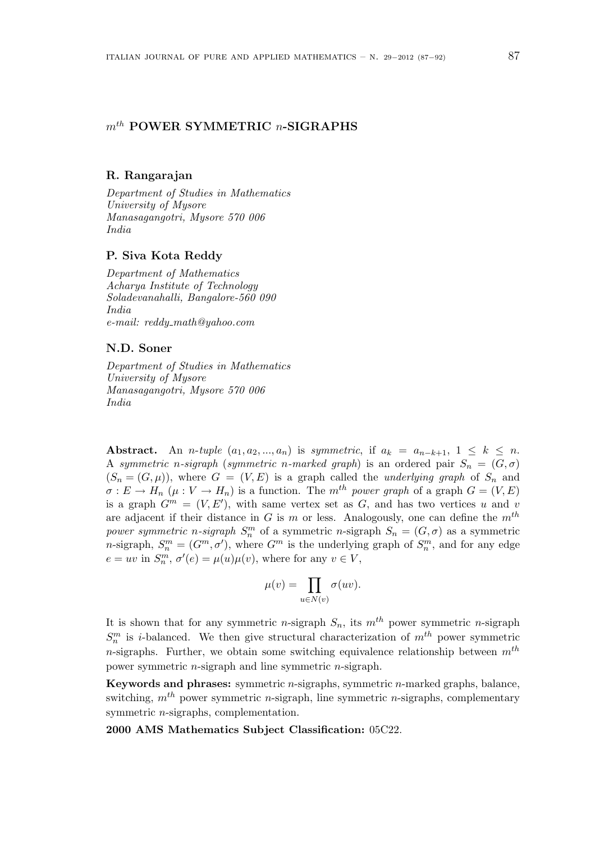## $m<sup>th</sup>$  POWER SYMMETRIC  $n$ -SIGRAPHS

### R. Rangarajan

Department of Studies in Mathematics University of Mysore Manasagangotri, Mysore 570 006 India

### P. Siva Kota Reddy

Department of Mathematics Acharya Institute of Technology Soladevanahalli, Bangalore-560 090 India e-mail: reddy math@yahoo.com

#### N.D. Soner

Department of Studies in Mathematics University of Mysore Manasagangotri, Mysore 570 006 India

Abstract. An n-tuple  $(a_1, a_2, ..., a_n)$  is symmetric, if  $a_k = a_{n-k+1}, 1 \leq k \leq n$ . A symmetric n-sigraph (symmetric n-marked graph) is an ordered pair  $S_n = (G, \sigma)$  $(S_n = (G, \mu))$ , where  $G = (V, E)$  is a graph called the *underlying graph* of  $S_n$  and  $\sigma: E \to H_n$   $(\mu: V \to H_n)$  is a function. The m<sup>th</sup> power graph of a graph  $G = (V, E)$ is a graph  $G^m = (V, E')$ , with same vertex set as G, and has two vertices u and v are adjacent if their distance in G is m or less. Analogously, one can define the  $m<sup>th</sup>$ power symmetric n-sigraph  $S_n^m$  of a symmetric n-sigraph  $S_n = (G, \sigma)$  as a symmetric *n*-sigraph,  $S_n^m = (G^m, \sigma')$ , where  $G^m$  is the underlying graph of  $S_n^m$ , and for any edge  $e = uv$  in  $S_n^m$ ,  $\sigma'(e) = \mu(u)\mu(v)$ , where for any  $v \in V$ ,

$$
\mu(v) = \prod_{u \in N(v)} \sigma(uv).
$$

It is shown that for any symmetric *n*-sigraph  $S_n$ , its  $m^{th}$  power symmetric *n*-sigraph  $S_n^m$  is *i*-balanced. We then give structural characterization of  $m^{th}$  power symmetric n-sigraphs. Further, we obtain some switching equivalence relationship between  $m<sup>th</sup>$ power symmetric n-sigraph and line symmetric n-sigraph.

**Keywords and phrases:** symmetric  $n$ -sigraphs, symmetric  $n$ -marked graphs, balance, switching,  $m^{th}$  power symmetric *n*-sigraph, line symmetric *n*-sigraphs, complementary symmetric n-sigraphs, complementation.

2000 AMS Mathematics Subject Classification: 05C22.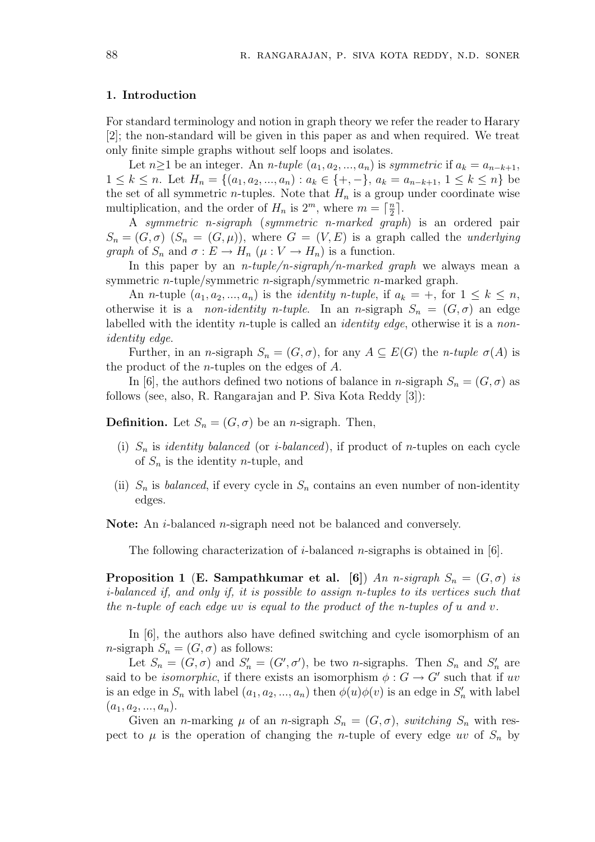### 1. Introduction

For standard terminology and notion in graph theory we refer the reader to Harary [2]; the non-standard will be given in this paper as and when required. We treat only finite simple graphs without self loops and isolates.

Let  $n\geq 1$  be an integer. An *n*-tuple  $(a_1, a_2, ..., a_n)$  is symmetric if  $a_k = a_{n-k+1}$ ,  $1 \leq k \leq n$ . Let  $H_n = \{(a_1, a_2, ..., a_n) : a_k \in \{+, -\}, a_k = a_{n-k+1}, 1 \leq k \leq n\}$  be the set of all symmetric *n*-tuples. Note that  $H_n$  is a group under coordinate wise multiplication, and the order of  $H_n$  is  $2^m$ , where  $m = \lceil \frac{n}{2} \rceil$  $\frac{n}{2}$ .

A symmetric n-sigraph (symmetric n-marked graph) is an ordered pair  $S_n = (G, \sigma)$   $(S_n = (G, \mu))$ , where  $G = (V, E)$  is a graph called the *underlying* graph of  $S_n$  and  $\sigma: E \to H_n$   $(\mu: V \to H_n)$  is a function.

In this paper by an *n*-tuple/n-sigraph/n-marked graph we always mean a symmetric n-tuple/symmetric n-sigraph/symmetric n-marked graph.

An *n*-tuple  $(a_1, a_2, ..., a_n)$  is the *identity n-tuple*, if  $a_k = +$ , for  $1 \leq k \leq n$ , otherwise it is a *non-identity n-tuple*. In an *n*-sigraph  $S_n = (G, \sigma)$  an edge labelled with the identity *n*-tuple is called an *identity edge*, otherwise it is a *non*identity edge.

Further, in an n-sigraph  $S_n = (G, \sigma)$ , for any  $A \subseteq E(G)$  the n-tuple  $\sigma(A)$  is the product of the n-tuples on the edges of A.

In [6], the authors defined two notions of balance in n-sigraph  $S_n = (G, \sigma)$  as follows (see, also, R. Rangarajan and P. Siva Kota Reddy [3]):

**Definition.** Let  $S_n = (G, \sigma)$  be an *n*-sigraph. Then,

- (i)  $S_n$  is *identity balanced* (or *i-balanced*), if product of *n*-tuples on each cycle of  $S_n$  is the identity *n*-tuple, and
- (ii)  $S_n$  is *balanced*, if every cycle in  $S_n$  contains an even number of non-identity edges.

Note: An *i*-balanced *n*-sigraph need not be balanced and conversely.

The following characterization of *i*-balanced *n*-sigraphs is obtained in [6].

**Proposition 1 (E. Sampathkumar et al. [6])** An n-sigraph  $S_n = (G, \sigma)$  is i-balanced if, and only if, it is possible to assign n-tuples to its vertices such that the n-tuple of each edge uv is equal to the product of the n-tuples of  $u$  and  $v$ .

In [6], the authors also have defined switching and cycle isomorphism of an n-sigraph  $S_n = (G, \sigma)$  as follows:

Let  $S_n = (G, \sigma)$  and  $S'_n = (G', \sigma')$ , be two *n*-sigraphs. Then  $S_n$  and  $S'_n$  are said to be *isomorphic*, if there exists an isomorphism  $\phi : G \to G'$  such that if uv is an edge in  $S_n$  with label  $(a_1, a_2, ..., a_n)$  then  $\phi(u)\phi(v)$  is an edge in  $S'_n$  with label  $(a_1, a_2, ..., a_n).$ 

Given an *n*-marking  $\mu$  of an *n*-sigraph  $S_n = (G, \sigma)$ , switching  $S_n$  with respect to  $\mu$  is the operation of changing the *n*-tuple of every edge uv of  $S_n$  by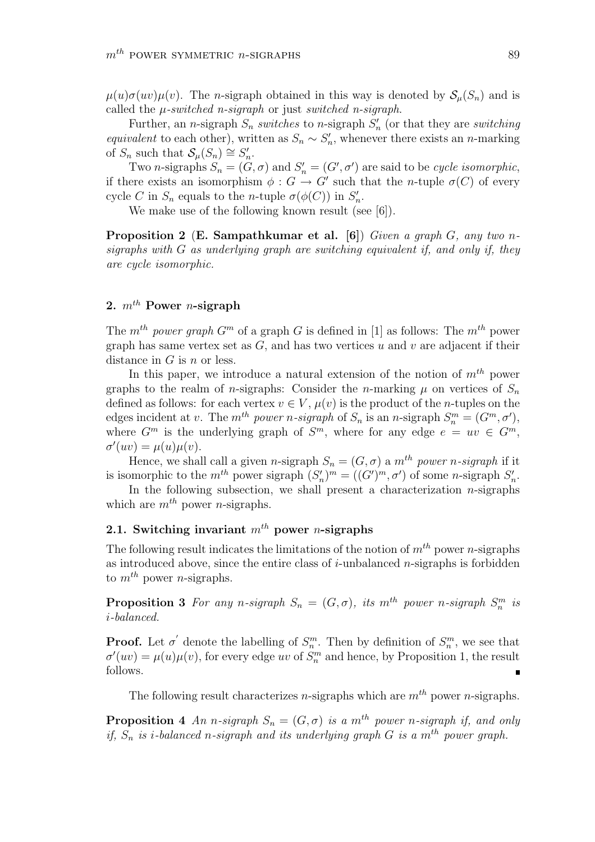$\mu(u)\sigma(uv)\mu(v)$ . The *n*-sigraph obtained in this way is denoted by  $\mathcal{S}_{\mu}(S_n)$  and is called the  $\mu$ -switched n-sigraph or just switched n-sigraph.

Further, an *n*-sigraph  $S_n$  switches to *n*-sigraph  $S'_n$  (or that they are switching equivalent to each other), written as  $S_n \sim S_n'$ , whenever there exists an n-marking of  $S_n$  such that  $\mathcal{S}_{\mu}(S_n) \cong S'_n$ .

Two *n*-sigraphs  $S_n = (G, \sigma)$  and  $S'_n = (G', \sigma')$  are said to be *cycle isomorphic*, if there exists an isomorphism  $\phi : G \to G'$  such that the *n*-tuple  $\sigma(C)$  of every cycle C in  $S_n$  equals to the *n*-tuple  $\sigma(\phi(C))$  in  $S'_n$ .

We make use of the following known result (see [6]).

**Proposition 2** (**E. Sampathkumar et al.** [6]) Given a graph G, any two nsigraphs with  $G$  as underlying graph are switching equivalent if, and only if, they are cycle isomorphic.

# 2.  $m^{th}$  Power *n*-sigraph

The m<sup>th</sup> power graph  $G<sup>m</sup>$  of a graph G is defined in [1] as follows: The m<sup>th</sup> power graph has same vertex set as  $G$ , and has two vertices u and v are adjacent if their distance in  $G$  is  $n$  or less.

In this paper, we introduce a natural extension of the notion of  $m^{th}$  power graphs to the realm of *n*-sigraphs: Consider the *n*-marking  $\mu$  on vertices of  $S_n$ defined as follows: for each vertex  $v \in V$ ,  $\mu(v)$  is the product of the *n*-tuples on the edges incident at v. The  $m^{th}$  power n-sigraph of  $S_n$  is an n-sigraph  $S_n^m = (G^m, \sigma')$ , where  $G^m$  is the underlying graph of  $S^m$ , where for any edge  $e = uv \in G^m$ ,  $\sigma'(uv) = \mu(u)\mu(v).$ 

Hence, we shall call a given n-sigraph  $S_n = (G, \sigma)$  a m<sup>th</sup> power n-sigraph if it is isomorphic to the  $m^{th}$  power sigraph  $(S'_n)^m = ((G')^m, \sigma')$  of some *n*-sigraph  $S'_n$ .

In the following subsection, we shall present a characterization  $n$ -sigraphs which are  $m^{th}$  power *n*-sigraphs.

# 2.1. Switching invariant  $m^{th}$  power *n*-sigraphs

The following result indicates the limitations of the notion of  $m^{th}$  power n-sigraphs as introduced above, since the entire class of  $i$ -unbalanced  $n$ -sigraphs is forbidden to  $m^{th}$  power *n*-sigraphs.

**Proposition 3** For any n-sigraph  $S_n = (G, \sigma)$ , its m<sup>th</sup> power n-sigraph  $S_n^m$  is i-balanced.

**Proof.** Let  $\sigma'$  denote the labelling of  $S_n^m$ . Then by definition of  $S_n^m$ , we see that  $\sigma'(uv) = \mu(u)\mu(v)$ , for every edge uv of  $S_n^m$  and hence, by Proposition 1, the result follows.

The following result characterizes *n*-sigraphs which are  $m<sup>th</sup>$  power *n*-sigraphs.

**Proposition 4** An n-sigraph  $S_n = (G, \sigma)$  is a m<sup>th</sup> power n-sigraph if, and only if,  $S_n$  is i-balanced n-sigraph and its underlying graph G is a m<sup>th</sup> power graph.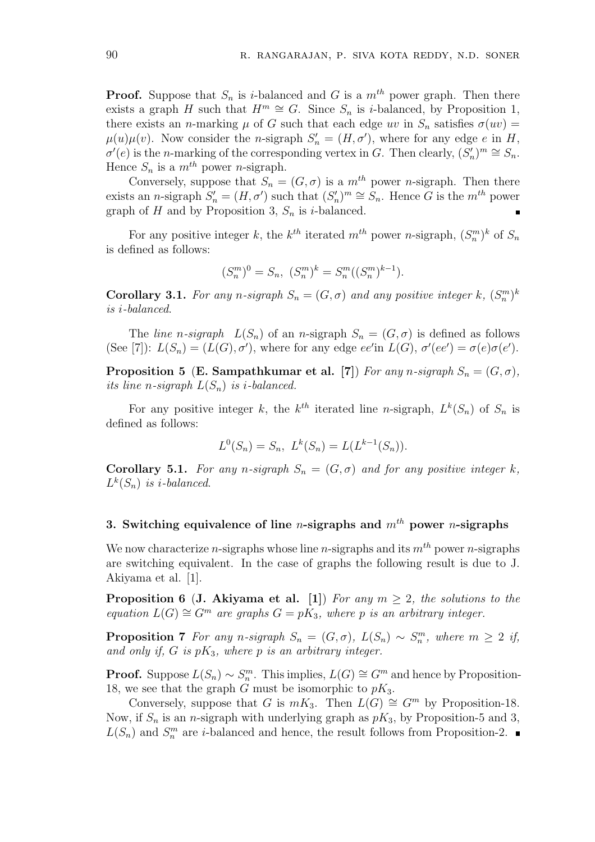**Proof.** Suppose that  $S_n$  is i-balanced and G is a  $m^{th}$  power graph. Then there exists a graph H such that  $H^m \cong G$ . Since  $S_n$  is *i*-balanced, by Proposition 1, there exists an *n*-marking  $\mu$  of G such that each edge uv in  $S_n$  satisfies  $\sigma(uv)$  =  $\mu(u)\mu(v)$ . Now consider the *n*-sigraph  $S'_n = (H, \sigma')$ , where for any edge e in H,  $\sigma'(e)$  is the *n*-marking of the corresponding vertex in G. Then clearly,  $(S'_n)^m \cong S_n$ . Hence  $S_n$  is a  $m^{th}$  power *n*-sigraph.

Conversely, suppose that  $S_n = (G, \sigma)$  is a  $m^{th}$  power *n*-sigraph. Then there exists an *n*-sigraph  $S'_n = (H, \sigma')$  such that  $(S'_n)^m \cong S_n$ . Hence G is the  $m^{th}$  power graph of H and by Proposition 3,  $S_n$  is *i*-balanced.

For any positive integer k, the  $k^{th}$  iterated  $m^{th}$  power n-sigraph,  $(S_n^m)^k$  of  $S_n$ is defined as follows:

$$
(S_n^m)^0 = S_n, \ (S_n^m)^k = S_n^m((S_n^m)^{k-1}).
$$

**Corollary 3.1.** For any n-sigraph  $S_n = (G, \sigma)$  and any positive integer k,  $(S_n^m)^k$ is i-balanced.

The line n-sigraph  $L(S_n)$  of an n-sigraph  $S_n = (G, \sigma)$  is defined as follows (See [7]):  $L(S_n) = (L(G), \sigma')$ , where for any edge  $ee'$  in  $L(G)$ ,  $\sigma'(ee') = \sigma(e)\sigma(e')$ .

**Proposition 5 (E. Sampathkumar et al. [7])** For any n-sigraph  $S_n = (G, \sigma)$ , its line n-sigraph  $L(S_n)$  is i-balanced.

For any positive integer k, the  $k^{th}$  iterated line n-sigraph,  $L^k(S_n)$  of  $S_n$  is defined as follows:

$$
L^{0}(S_n) = S_n, \ L^{k}(S_n) = L(L^{k-1}(S_n)).
$$

Corollary 5.1. For any n-sigraph  $S_n = (G, \sigma)$  and for any positive integer k,  $L^k(S_n)$  is *i*-balanced.

## 3. Switching equivalence of line *n*-sigraphs and  $m^{th}$  power *n*-sigraphs

We now characterize *n*-sigraphs whose line *n*-sigraphs and its  $m^{th}$  power *n*-sigraphs are switching equivalent. In the case of graphs the following result is due to J. Akiyama et al. [1].

**Proposition 6 (J. Akiyama et al. [1])** For any  $m > 2$ , the solutions to the equation  $L(G) \cong G<sup>m</sup>$  are graphs  $G = pK_3$ , where p is an arbitrary integer.

**Proposition 7** For any n-sigraph  $S_n = (G, \sigma)$ ,  $L(S_n) \sim S_n^m$ , where  $m \geq 2$  if, and only if, G is  $pK_3$ , where p is an arbitrary integer.

**Proof.** Suppose  $L(S_n) \sim S_n^m$ . This implies,  $L(G) \cong G^m$  and hence by Proposition-18, we see that the graph G must be isomorphic to  $pK_3$ .

Conversely, suppose that G is  $mK_3$ . Then  $L(G) \cong G^m$  by Proposition-18. Now, if  $S_n$  is an *n*-sigraph with underlying graph as  $pK_3$ , by Proposition-5 and 3,  $L(S_n)$  and  $S_n^m$  are *i*-balanced and hence, the result follows from Proposition-2.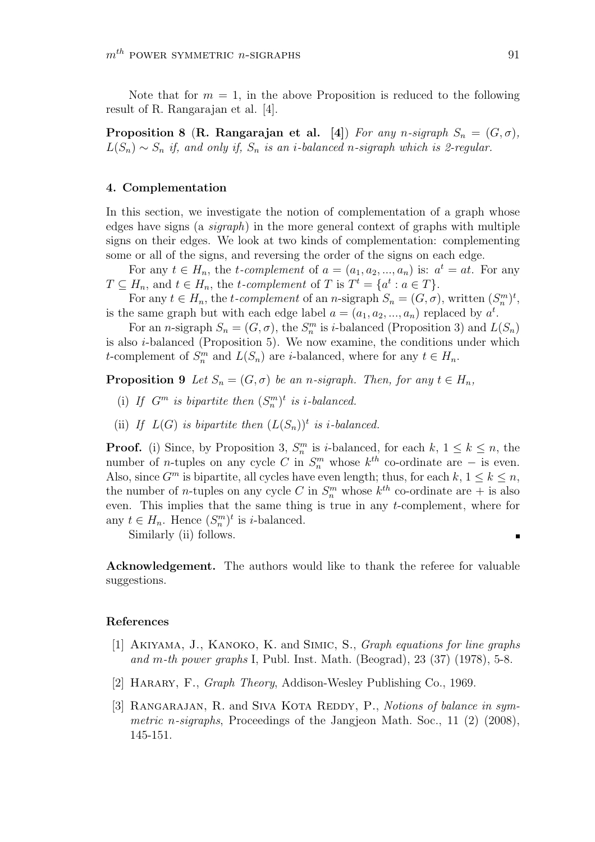Note that for  $m = 1$ , in the above Proposition is reduced to the following result of R. Rangarajan et al. [4].

**Proposition 8 (R. Rangarajan et al. [4])** For any n-sigraph  $S_n = (G, \sigma)$ ,  $L(S_n) \sim S_n$  if, and only if,  $S_n$  is an i-balanced n-sigraph which is 2-regular.

### 4. Complementation

In this section, we investigate the notion of complementation of a graph whose edges have signs (a *sigraph*) in the more general context of graphs with multiple signs on their edges. We look at two kinds of complementation: complementing some or all of the signs, and reversing the order of the signs on each edge.

For any  $t \in H_n$ , the *t*-complement of  $a = (a_1, a_2, ..., a_n)$  is:  $a^t = at$ . For any  $T \subseteq H_n$ , and  $t \in H_n$ , the *t*-complement of T is  $T^t = \{a^t : a \in T\}$ .

For any  $t \in H_n$ , the t-complement of an n-sigraph  $S_n = (G, \sigma)$ , written  $(S_n^m)^t$ , is the same graph but with each edge label  $a = (a_1, a_2, ..., a_n)$  replaced by  $a^t$ .

For an *n*-sigraph  $S_n = (G, \sigma)$ , the  $S_n^m$  is *i*-balanced (Proposition 3) and  $L(S_n)$ is also  $i$ -balanced (Proposition 5). We now examine, the conditions under which t-complement of  $S_n^m$  and  $L(S_n)$  are *i*-balanced, where for any  $t \in H_n$ .

**Proposition 9** Let  $S_n = (G, \sigma)$  be an n-sigraph. Then, for any  $t \in H_n$ ,

- (i) If  $G^m$  is bipartite then  $(S_n^m)^t$  is *i*-balanced.
- (ii) If  $L(G)$  is bipartite then  $(L(S_n))$ <sup>t</sup> is *i*-balanced.

**Proof.** (i) Since, by Proposition 3,  $S_n^m$  is *i*-balanced, for each  $k, 1 \leq k \leq n$ , the number of *n*-tuples on any cycle C in  $S_n^m$  whose  $k^{th}$  co-ordinate are – is even. Also, since  $G^m$  is bipartite, all cycles have even length; thus, for each  $k, 1 \leq k \leq n$ , the number of *n*-tuples on any cycle C in  $S_n^m$  whose  $k^{th}$  co-ordinate are  $+$  is also even. This implies that the same thing is true in any t-complement, where for any  $t \in H_n$ . Hence  $(S_n^m)^t$  is *i*-balanced.

Similarly (ii) follows.

Acknowledgement. The authors would like to thank the referee for valuable suggestions.

### References

- [1] Akiyama, J., Kanoko, K. and Simic, S., Graph equations for line graphs and m-th power graphs I, Publ. Inst. Math. (Beograd),  $23$   $(37)$   $(1978)$ , 5-8.
- [2] HARARY, F., *Graph Theory*, Addison-Wesley Publishing Co., 1969.
- [3] RANGARAJAN, R. and SIVA KOTA REDDY, P., Notions of balance in symmetric n-sigraphs, Proceedings of the Jangjeon Math. Soc., 11  $(2)$   $(2008)$ , 145-151.

π